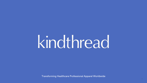1

# kindthread

Transforming Healthcare Professional Apparel Worldwide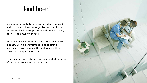## kindthread

is a modern, digitally-forward, product-focused and customer-obsessed organization, dedicated to serving healthcare professionals while driving positive community impact.

We are a new solution to the healthcare apparel industry with a commitment to supporting healthcare professionals through our portfolio of brands and superior service.

Together, we will offer an unprecedented curation of product service and experience

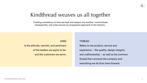#### KIND

Is the attitude, warmth, and sentiment of the leaders we aspire to be and the customers we serve.

THREAD Refers to the product, service and experience -- the quality, design integrity and craftsmanship -- as well as the common thread that connects the company and everything we do from here forward.





## Kindthread weaves us all together

Creating consistency to how we treat and respect one another, communicate transparently, and unite around our progressive approach to the industry.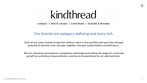#### WHITE CROSS | CHEFWEAR | SCRUBS & BEYOND

#### Our brands are category defining and story rich.



## kindthread LANDAU I

Each of our iconic brands brings their distinct value to the portfolio and each has outsized potential to become even stronger together, through modernization and efficiency.

We are unlocking extraordinary competitive advantage and setting the stage for continued growth by providing unique products, services and experiences to our retail partners.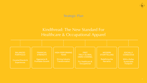5

#### Strategic Plan

### Kindthread: The New Standard For Healthcare & Occupational Apparel

Coveted Brands & **Experiences** 

#### FINANCIAL **STRENGTH**



#### HIGH-PERFORMING **TEAM**

Driving Industry **Transformation** 



For Healthcare & **Occupational** 

#### **MODERN STORYTELLING**

Redefining the **Narrative** 

#### **SOCIALLY CONSCIOUS**

Aggressive & Profitable Growth

FIRST TRULY GLOBAL OMNI-CHANNEL

> With a Softer **Sustainable** Footprint

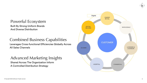



### Powerful Ecosystem

Built By Strong Uniform Brands And Diverse Distribution

#### Combined Business Capabilities Leverages Cross-functional Efficiencies Globally Across All Sales Channels

#### Advanced Marketing Insights Shared Across The Organization Inform A Controlled Distribution Strategy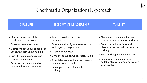- » Operate in service of the Healthcare professional
- » Drive for results and win
- » Confident about our capabilities yet always remaining humble
- » Friendly, caring; engage and respect employees
- » Give back and enhance the communities we operate in
- » Takes a holistic, enterprise perspective
- » Operate with a high sense of action and urgency; responsive
- » Customer obsessed
- » Simplify; focus on what creates value
- » Talent development mindset; invests in and develop people
- » Leverage data to drive decision making

- » Nimble, quick, agile; adapt and pivot as new information surfaces
- » Data oriented; use facts and objective results to drive decision making
- » Hard working and results oriented
- » Focuses on the big picture; collaborates with others so we can win together





## Kindthread's Organizational Approach

#### CULTURE EXECUTIVE LEADERSHIP TALENT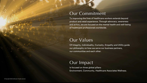

### Our Commitment

To improving the lives of healthcare workers extends beyond product and retail experience. Through advocacy, awareness and action, we are focused on the mental health and well-being of healthcare professionals worldwide.

### Our Values

### Our Impact

Of Integrity, Individuality, Curiosity, Empathy and Utility guide our philosophy on how we serve our business partners, our communities and each other.

Is focused on three global pillars: Environment, Community, Healthcare Associates Wellness.

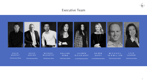#### Executive Team



Chief Revenue Officer

MICHAEL MCCARTHY

Chief Product Officer

LA UREN RIE CK HOFF

Chief Operating Officer Chief Revenue Officer Chief Product Officer Co-Chief Marketing Officer

SALLIAN SONG

M I C H A E L VERMILION

DAVID AQUINO

Chief Executive Officer

DAVID MURPHY

K A REN DUFFY

co-Chief Marketing Officer Chief Commerce Officer

Chief Financial Officer



#### LILIA LAUREN